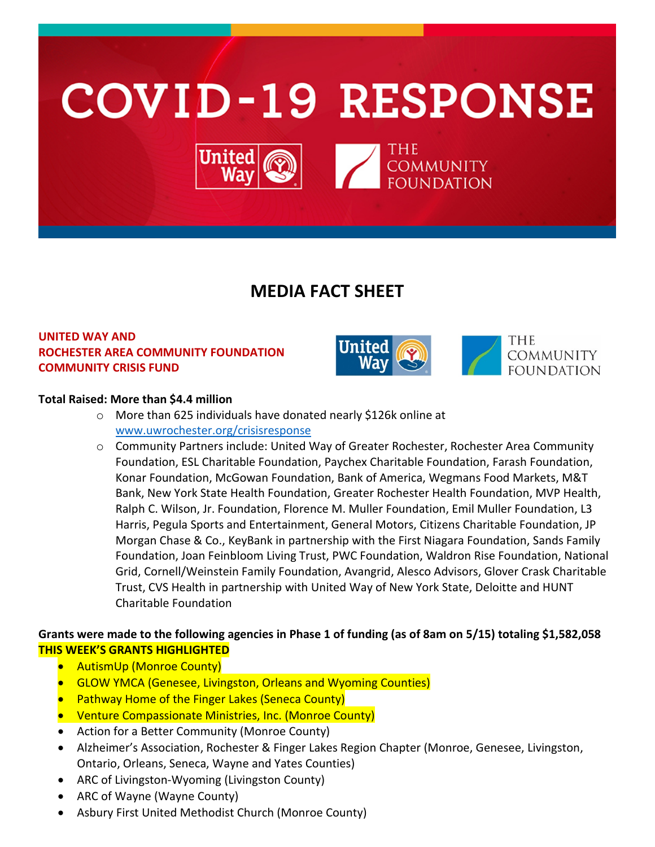

# **MEDIA FACT SHEET**

## **UNITED WAY AND ROCHESTER AREA COMMUNITY FOUNDATION COMMUNITY CRISIS FUND**





### **Total Raised: More than \$4.4 million**

- o More than 625 individuals have donated nearly \$126k online at [www.uwrochester.org/crisisresponse](http://www.uwrochester.org/crisisresponse)
- o Community Partners include: United Way of Greater Rochester, Rochester Area Community Foundation, ESL Charitable Foundation, Paychex Charitable Foundation, Farash Foundation, Konar Foundation, McGowan Foundation, Bank of America, Wegmans Food Markets, M&T Bank, New York State Health Foundation, Greater Rochester Health Foundation, MVP Health, Ralph C. Wilson, Jr. Foundation, Florence M. Muller Foundation, Emil Muller Foundation, L3 Harris, Pegula Sports and Entertainment, General Motors, Citizens Charitable Foundation, JP Morgan Chase & Co., KeyBank in partnership with the First Niagara Foundation, Sands Family Foundation, Joan Feinbloom Living Trust, PWC Foundation, Waldron Rise Foundation, National Grid, Cornell/Weinstein Family Foundation, Avangrid, Alesco Advisors, Glover Crask Charitable Trust, CVS Health in partnership with United Way of New York State, Deloitte and HUNT Charitable Foundation

## **Grants were made to the following agencies in Phase 1 of funding (as of 8am on 5/15) totaling \$1,582,058 THIS WEEK'S GRANTS HIGHLIGHTED**

- AutismUp (Monroe County)
- GLOW YMCA (Genesee, Livingston, Orleans and Wyoming Counties)
- **Pathway Home of the Finger Lakes (Seneca County)**
- Venture Compassionate Ministries, Inc. (Monroe County)
- Action for a Better Community (Monroe County)
- Alzheimer's Association, Rochester & Finger Lakes Region Chapter (Monroe, Genesee, Livingston, Ontario, Orleans, Seneca, Wayne and Yates Counties)
- ARC of Livingston-Wyoming (Livingston County)
- ARC of Wayne (Wayne County)
- Asbury First United Methodist Church (Monroe County)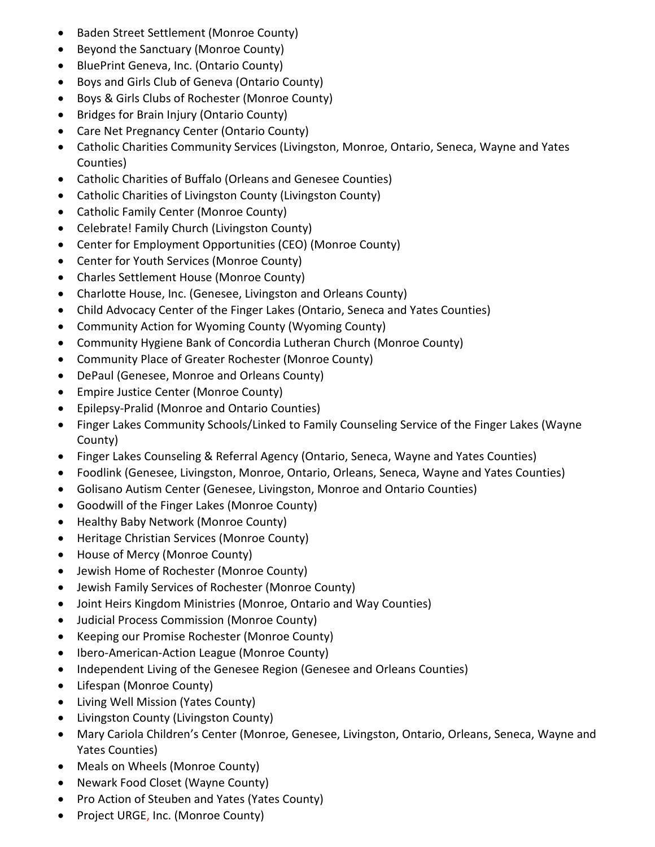- Baden Street Settlement (Monroe County)
- Beyond the Sanctuary (Monroe County)
- BluePrint Geneva, Inc. (Ontario County)
- Boys and Girls Club of Geneva (Ontario County)
- Boys & Girls Clubs of Rochester (Monroe County)
- Bridges for Brain Injury (Ontario County)
- Care Net Pregnancy Center (Ontario County)
- Catholic Charities Community Services (Livingston, Monroe, Ontario, Seneca, Wayne and Yates Counties)
- Catholic Charities of Buffalo (Orleans and Genesee Counties)
- Catholic Charities of Livingston County (Livingston County)
- Catholic Family Center (Monroe County)
- Celebrate! Family Church (Livingston County)
- Center for Employment Opportunities (CEO) (Monroe County)
- Center for Youth Services (Monroe County)
- Charles Settlement House (Monroe County)
- Charlotte House, Inc. (Genesee, Livingston and Orleans County)
- Child Advocacy Center of the Finger Lakes (Ontario, Seneca and Yates Counties)
- Community Action for Wyoming County (Wyoming County)
- Community Hygiene Bank of Concordia Lutheran Church (Monroe County)
- Community Place of Greater Rochester (Monroe County)
- DePaul (Genesee, Monroe and Orleans County)
- Empire Justice Center (Monroe County)
- Epilepsy-Pralid (Monroe and Ontario Counties)
- Finger Lakes Community Schools/Linked to Family Counseling Service of the Finger Lakes (Wayne County)
- Finger Lakes Counseling & Referral Agency (Ontario, Seneca, Wayne and Yates Counties)
- Foodlink (Genesee, Livingston, Monroe, Ontario, Orleans, Seneca, Wayne and Yates Counties)
- Golisano Autism Center (Genesee, Livingston, Monroe and Ontario Counties)
- Goodwill of the Finger Lakes (Monroe County)
- Healthy Baby Network (Monroe County)
- Heritage Christian Services (Monroe County)
- House of Mercy (Monroe County)
- Jewish Home of Rochester (Monroe County)
- Jewish Family Services of Rochester (Monroe County)
- Joint Heirs Kingdom Ministries (Monroe, Ontario and Way Counties)
- Judicial Process Commission (Monroe County)
- Keeping our Promise Rochester (Monroe County)
- Ibero-American-Action League (Monroe County)
- Independent Living of the Genesee Region (Genesee and Orleans Counties)
- Lifespan (Monroe County)
- Living Well Mission (Yates County)
- Livingston County (Livingston County)
- Mary Cariola Children's Center (Monroe, Genesee, Livingston, Ontario, Orleans, Seneca, Wayne and Yates Counties)
- Meals on Wheels (Monroe County)
- Newark Food Closet (Wayne County)
- Pro Action of Steuben and Yates (Yates County)
- Project URGE, Inc. (Monroe County)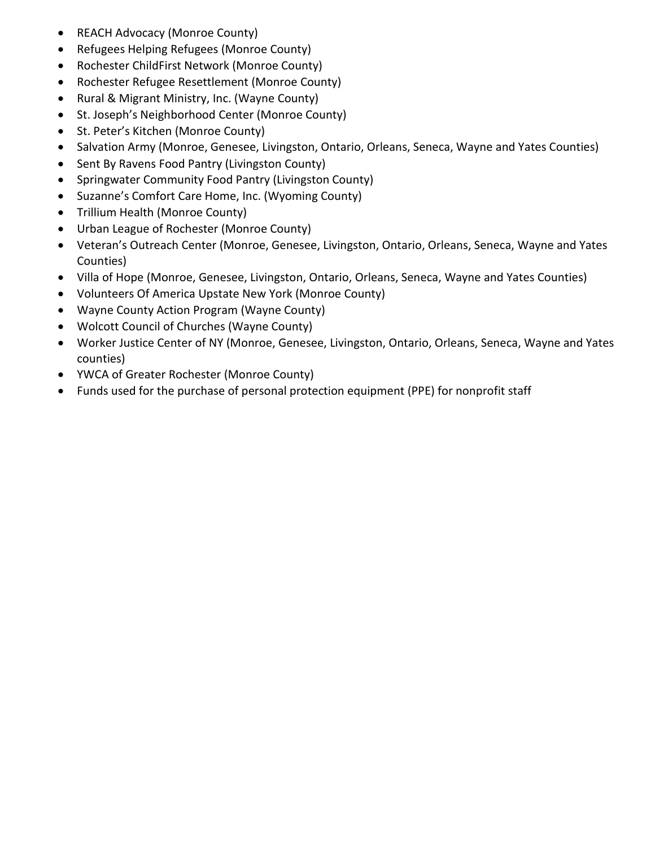- REACH Advocacy (Monroe County)
- Refugees Helping Refugees (Monroe County)
- Rochester ChildFirst Network (Monroe County)
- Rochester Refugee Resettlement (Monroe County)
- Rural & Migrant Ministry, Inc. (Wayne County)
- St. Joseph's Neighborhood Center (Monroe County)
- St. Peter's Kitchen (Monroe County)
- Salvation Army (Monroe, Genesee, Livingston, Ontario, Orleans, Seneca, Wayne and Yates Counties)
- Sent By Ravens Food Pantry (Livingston County)
- Springwater Community Food Pantry (Livingston County)
- Suzanne's Comfort Care Home, Inc. (Wyoming County)
- Trillium Health (Monroe County)
- Urban League of Rochester (Monroe County)
- Veteran's Outreach Center (Monroe, Genesee, Livingston, Ontario, Orleans, Seneca, Wayne and Yates Counties)
- Villa of Hope (Monroe, Genesee, Livingston, Ontario, Orleans, Seneca, Wayne and Yates Counties)
- Volunteers Of America Upstate New York (Monroe County)
- Wayne County Action Program (Wayne County)
- Wolcott Council of Churches (Wayne County)
- Worker Justice Center of NY (Monroe, Genesee, Livingston, Ontario, Orleans, Seneca, Wayne and Yates counties)
- YWCA of Greater Rochester (Monroe County)
- Funds used for the purchase of personal protection equipment (PPE) for nonprofit staff